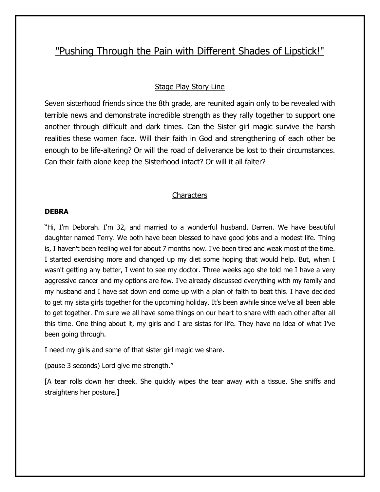# "Pushing Through the Pain with Different Shades of Lipstick!"

# Stage Play Story Line

Seven sisterhood friends since the 8th grade, are reunited again only to be revealed with terrible news and demonstrate incredible strength as they rally together to support one another through difficult and dark times. Can the Sister girl magic survive the harsh realities these women face. Will their faith in God and strengthening of each other be enough to be life-altering? Or will the road of deliverance be lost to their circumstances. Can their faith alone keep the Sisterhood intact? Or will it all falter?

## **Characters**

#### **DEBRA**

"Hi, I'm Deborah. I'm 32, and married to a wonderful husband, Darren. We have beautiful daughter named Terry. We both have been blessed to have good jobs and a modest life. Thing is, I haven't been feeling well for about 7 months now. I've been tired and weak most of the time. I started exercising more and changed up my diet some hoping that would help. But, when I wasn't getting any better, I went to see my doctor. Three weeks ago she told me I have a very aggressive cancer and my options are few. I've already discussed everything with my family and my husband and I have sat down and come up with a plan of faith to beat this. I have decided to get my sista girls together for the upcoming holiday. It's been awhile since we've all been able to get together. I'm sure we all have some things on our heart to share with each other after all this time. One thing about it, my girls and I are sistas for life. They have no idea of what I've been going through.

I need my girls and some of that sister girl magic we share.

(pause 3 seconds) Lord give me strength."

[A tear rolls down her cheek. She quickly wipes the tear away with a tissue. She sniffs and straightens her posture.]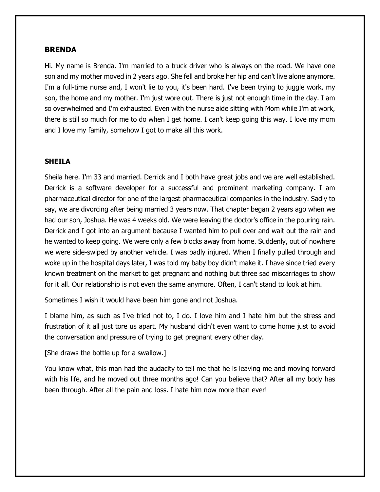#### **BRENDA**

Hi. My name is Brenda. I'm married to a truck driver who is always on the road. We have one son and my mother moved in 2 years ago. She fell and broke her hip and can't live alone anymore. I'm a full-time nurse and, I won't lie to you, it's been hard. I've been trying to juggle work, my son, the home and my mother. I'm just wore out. There is just not enough time in the day. I am so overwhelmed and I'm exhausted. Even with the nurse aide sitting with Mom while I'm at work, there is still so much for me to do when I get home. I can't keep going this way. I love my mom and I love my family, somehow I got to make all this work.

#### **SHEILA**

Sheila here. I'm 33 and married. Derrick and I both have great jobs and we are well established. Derrick is a software developer for a successful and prominent marketing company. I am pharmaceutical director for one of the largest pharmaceutical companies in the industry. Sadly to say, we are divorcing after being married 3 years now. That chapter began 2 years ago when we had our son, Joshua. He was 4 weeks old. We were leaving the doctor's office in the pouring rain. Derrick and I got into an argument because I wanted him to pull over and wait out the rain and he wanted to keep going. We were only a few blocks away from home. Suddenly, out of nowhere we were side-swiped by another vehicle. I was badly injured. When I finally pulled through and woke up in the hospital days later, I was told my baby boy didn't make it. I have since tried every known treatment on the market to get pregnant and nothing but three sad miscarriages to show for it all. Our relationship is not even the same anymore. Often, I can't stand to look at him.

Sometimes I wish it would have been him gone and not Joshua.

I blame him, as such as I've tried not to, I do. I love him and I hate him but the stress and frustration of it all just tore us apart. My husband didn't even want to come home just to avoid the conversation and pressure of trying to get pregnant every other day.

[She draws the bottle up for a swallow.]

You know what, this man had the audacity to tell me that he is leaving me and moving forward with his life, and he moved out three months ago! Can you believe that? After all my body has been through. After all the pain and loss. I hate him now more than ever!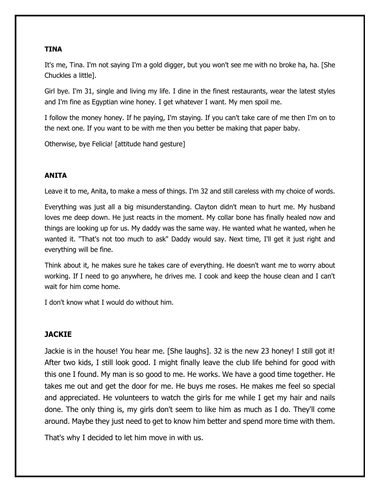# **TINA**

It's me, Tina. I'm not saying I'm a gold digger, but you won't see me with no broke ha, ha. [She Chuckles a little].

Girl bye. I'm 31, single and living my life. I dine in the finest restaurants, wear the latest styles and I'm fine as Egyptian wine honey. I get whatever I want. My men spoil me.

I follow the money honey. If he paying, I'm staying. If you can't take care of me then I'm on to the next one. If you want to be with me then you better be making that paper baby.

Otherwise, bye Felicia! [attitude hand gesture]

# **ANITA**

Leave it to me, Anita, to make a mess of things. I'm 32 and still careless with my choice of words.

Everything was just all a big misunderstanding. Clayton didn't mean to hurt me. My husband loves me deep down. He just reacts in the moment. My collar bone has finally healed now and things are looking up for us. My daddy was the same way. He wanted what he wanted, when he wanted it. "That's not too much to ask" Daddy would say. Next time, I'll get it just right and everything will be fine.

Think about it, he makes sure he takes care of everything. He doesn't want me to worry about working. If I need to go anywhere, he drives me. I cook and keep the house clean and I can't wait for him come home.

I don't know what I would do without him.

# **JACKIE**

Jackie is in the house! You hear me. [She laughs]. 32 is the new 23 honey! I still got it! After two kids, I still look good. I might finally leave the club life behind for good with this one I found. My man is so good to me. He works. We have a good time together. He takes me out and get the door for me. He buys me roses. He makes me feel so special and appreciated. He volunteers to watch the girls for me while I get my hair and nails done. The only thing is, my girls don't seem to like him as much as I do. They'll come around. Maybe they just need to get to know him better and spend more time with them.

That's why I decided to let him move in with us.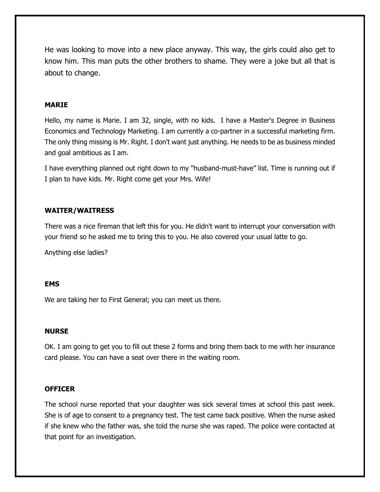He was looking to move into a new place anyway. This way, the girls could also get to know him. This man puts the other brothers to shame. They were a joke but all that is about to change.

# **MARIE**

Hello, my name is Marie. I am 32, single, with no kids. I have a Master's Degree in Business Economics and Technology Marketing. I am currently a co-partner in a successful marketing firm. The only thing missing is Mr. Right. I don't want just anything. He needs to be as business minded and goal ambitious as I am.

I have everything planned out right down to my "husband-must-have" list. Time is running out if I plan to have kids. Mr. Right come get your Mrs. Wife!

#### **WAITER/WAITRESS**

There was a nice fireman that left this for you. He didn't want to interrupt your conversation with your friend so he asked me to bring this to you. He also covered your usual latte to go.

Anything else ladies?

#### **EMS**

We are taking her to First General; you can meet us there.

#### **NURSE**

OK. I am going to get you to fill out these 2 forms and bring them back to me with her insurance card please. You can have a seat over there in the waiting room.

#### **OFFICER**

The school nurse reported that your daughter was sick several times at school this past week. She is of age to consent to a pregnancy test. The test came back positive. When the nurse asked if she knew who the father was, she told the nurse she was raped. The police were contacted at that point for an investigation.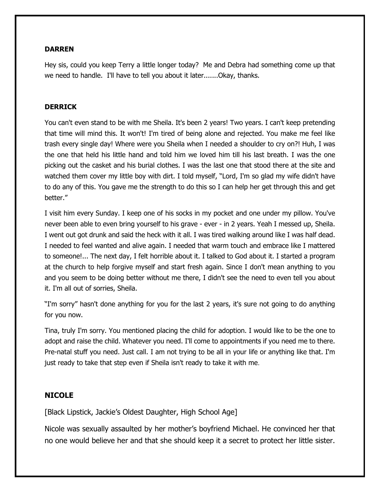## **DARREN**

Hey sis, could you keep Terry a little longer today? Me and Debra had something come up that we need to handle. I'll have to tell you about it later.......Okay, thanks.

## **DERRICK**

You can't even stand to be with me Sheila. It's been 2 years! Two years. I can't keep pretending that time will mind this. It won't! I'm tired of being alone and rejected. You make me feel like trash every single day! Where were you Sheila when I needed a shoulder to cry on?! Huh, I was the one that held his little hand and told him we loved him till his last breath. I was the one picking out the casket and his burial clothes. I was the last one that stood there at the site and watched them cover my little boy with dirt. I told myself, "Lord, I'm so glad my wife didn't have to do any of this. You gave me the strength to do this so I can help her get through this and get better."

I visit him every Sunday. I keep one of his socks in my pocket and one under my pillow. You've never been able to even bring yourself to his grave - ever - in 2 years. Yeah I messed up, Sheila. I went out got drunk and said the heck with it all. I was tired walking around like I was half dead. I needed to feel wanted and alive again. I needed that warm touch and embrace like I mattered to someone!... The next day, I felt horrible about it. I talked to God about it. I started a program at the church to help forgive myself and start fresh again. Since I don't mean anything to you and you seem to be doing better without me there, I didn't see the need to even tell you about it. I'm all out of sorries, Sheila.

"I'm sorry" hasn't done anything for you for the last 2 years, it's sure not going to do anything for you now.

Tina, truly I'm sorry. You mentioned placing the child for adoption. I would like to be the one to adopt and raise the child. Whatever you need. I'll come to appointments if you need me to there. Pre-natal stuff you need. Just call. I am not trying to be all in your life or anything like that. I'm just ready to take that step even if Sheila isn't ready to take it with me.

# **NICOLE**

[Black Lipstick, Jackie's Oldest Daughter, High School Age]

Nicole was sexually assaulted by her mother's boyfriend Michael. He convinced her that no one would believe her and that she should keep it a secret to protect her little sister.